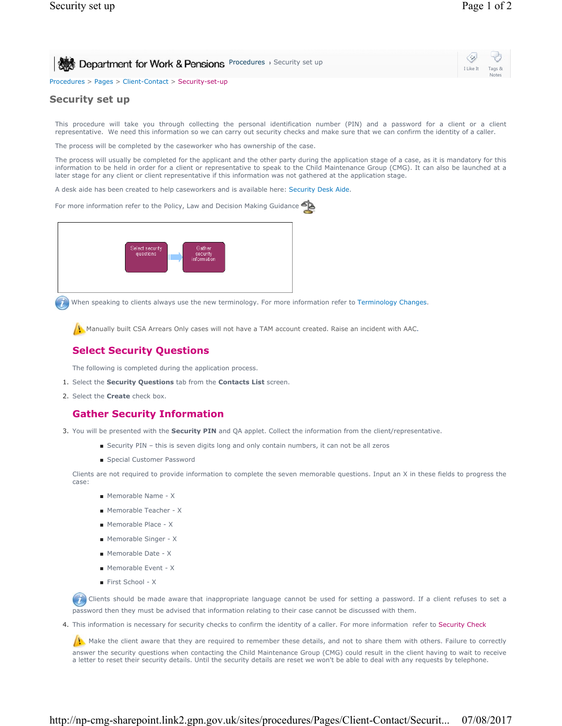| Bootment for Work & Pensions Procedures , Security set up | I Like It Tags & | $\ddot{\omega}$ $\ddot{\omega}$<br><b>Notes</b> |  |
|-----------------------------------------------------------|------------------|-------------------------------------------------|--|
| Procedures > Pages > Client-Contact > Security-set-up     |                  |                                                 |  |

## **Security set up**

This procedure will take you through collecting the personal identification number (PIN) and a password for a client or a client representative. We need this information so we can carry out security checks and make sure that we can confirm the identity of a caller.

The process will be completed by the caseworker who has ownership of the case.

The process will usually be completed for the applicant and the other party during the application stage of a case, as it is mandatory for this information to be held in order for a client or representative to speak to the Child Maintenance Group (CMG). It can also be launched at a later stage for any client or client representative if this information was not gathered at the application stage.

A desk aide has been created to help caseworkers and is available here: Security Desk Aide.

For more information refer to the Policy, Law and Decision Making Guidance



When speaking to clients always use the new terminology. For more information refer to Terminology Changes.

**Manually built CSA Arrears Only cases will not have a TAM account created. Raise an incident with AAC.** 

## **Select Security Questions**

The following is completed during the application process.

- 1. Select the **Security Questions** tab from the **Contacts List** screen.
- 2. Select the **Create** check box.

## **Gather Security Information**

- 3. You will be presented with the **Security PIN** and QA applet. Collect the information from the client/representative.
	- Security PIN this is seven digits long and only contain numbers, it can not be all zeros
	- Special Customer Password

Clients are not required to provide information to complete the seven memorable questions. Input an X in these fields to progress the case:

- Memorable Name X
- Memorable Teacher X
- Memorable Place X
- Memorable Singer X
- Memorable Date X
- Memorable Event X
- First School X

Chients should be made aware that inappropriate language cannot be used for setting a password. If a client refuses to set a password then they must be advised that information relating to their case cannot be discussed with them.

4. This information is necessary for security checks to confirm the identity of a caller. For more information refer to Security Check

 $\mu$ . Make the client aware that they are required to remember these details, and not to share them with others. Failure to correctly answer the security questions when contacting the Child Maintenance Group (CMG) could result in the client having to wait to receive a letter to reset their security details. Until the security details are reset we won't be able to deal with any requests by telephone.